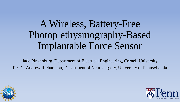# A Wireless, Battery-Free Photoplethysmography-Based Implantable Force Sensor

Jade Pinkenburg, Department of Electrical Engineering, Cornell University PI: Dr. Andrew Richardson, Department of Neurosurgery, University of Pennsylvania



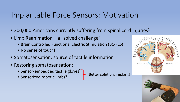### Implantable Force Sensors: Motivation

- 300,000 Americans currently suffering from spinal cord injuries<sup>1</sup>
- Limb Reanimation a "solved challenge"
	- Brain Controlled Functional Electric Stimulation (BC-FES)
	- No sense of touch!
- Somatosensation: source of tactile information
- Restoring somatosensation:
	- Sensor-embedded tactile gloves<sup>2</sup>
	- Sensorized robotic limbs<sup>3</sup>  $\overline{ }$  Better solution: implant!



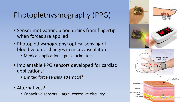# Photoplethysmography (PPG)

- Sensor motivation: blood drains from fingertip when forces are applied
- Photoplethysmography: optical sensing of blood volume changes in microvasculature
	- Medical application pulse oximeters
- Implantable PPG sensors developed for cardiac applications4
	- Limited force sensing attempts!<sup>5</sup>
- Alternatives?
	- Capacitive sensors large, excessive circuitry<sup>6</sup>

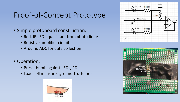# Proof-of-Concept Prototype

- Simple protoboard construction:
	- Red, IR LED equidistant from photodiode
	- Resistive amplifier circuit
	- Arduino ADC for data collection
- Operation:
	- Press thumb against LEDs, PD
	- Load cell measures ground-truth force





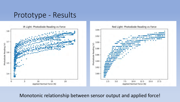#### Prototype - Results



Monotonic relationship between sensor output and applied force!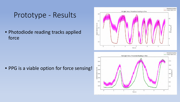#### Prototype - Results

• Photodiode reading tracks applied force





• PPG is a viable option for force sensing!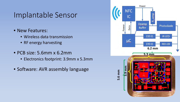#### Implantable Sensor

- New Features:
	- Wireless data transmission
	- RF energy harvesting
- PCB size: 5.6mm x 6.2mm
	- Electronics footprint: 3.9mm x 5.3mm
- Software: AVR assembly language

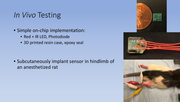# *In Vivo* Testing

- Simple on-chip implementation:
	- Red + IR LED, Photodiode
	- 3D printed resin case, epoxy seal

• Subcutaneously implant sensor in hindlimb of an anesthetized rat

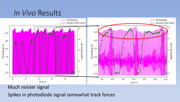#### *In Vivo* Results



#### Much noisier signal

Spikes in photodiode signal somewhat track forces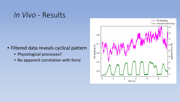#### *In Vivo* - Results

- Filtered data reveals cyclical pattern
	- Physiological processes?
	- No apparent correlation with force

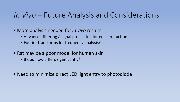#### *In Vivo* – Future Analysis and Considerations

- More analysis needed for *in vivo* results
	- Advanced filtering / signal processing for noise reduction
	- Fourier transforms for frequency analysis?
- Rat may be a poor model for human skin
	- Blood flow differs significantly<sup>6</sup>
- Need to minimize direct LED light entry to photodiode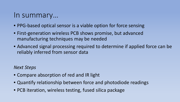#### In summary…

- PPG-based optical sensor is a viable option for force sensing
- First-generation wireless PCB shows promise, but advanced manufacturing techniques may be needed
- Advanced signal processing required to determine if applied force can be reliably inferred from sensor data

*Next Steps*

- Compare absorption of red and IR light
- Quantify relationship between force and photodiode readings
- PCB iteration, wireless testing, fused silica package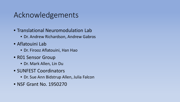# Acknowledgements

- Translational Neuromodulation Lab
	- Dr. Andrew Richardson, Andrew Gabros
- Aflatouini Lab
	- Dr. Firooz Aflatouini, Han Hao
- R01 Sensor Group
	- Dr. Mark Allen, Lin Du
- SUNFEST Coordinators
	- Dr. Sue Ann Bidstrup Allen, Julia Falcon
- NSF Grant No. 1950270